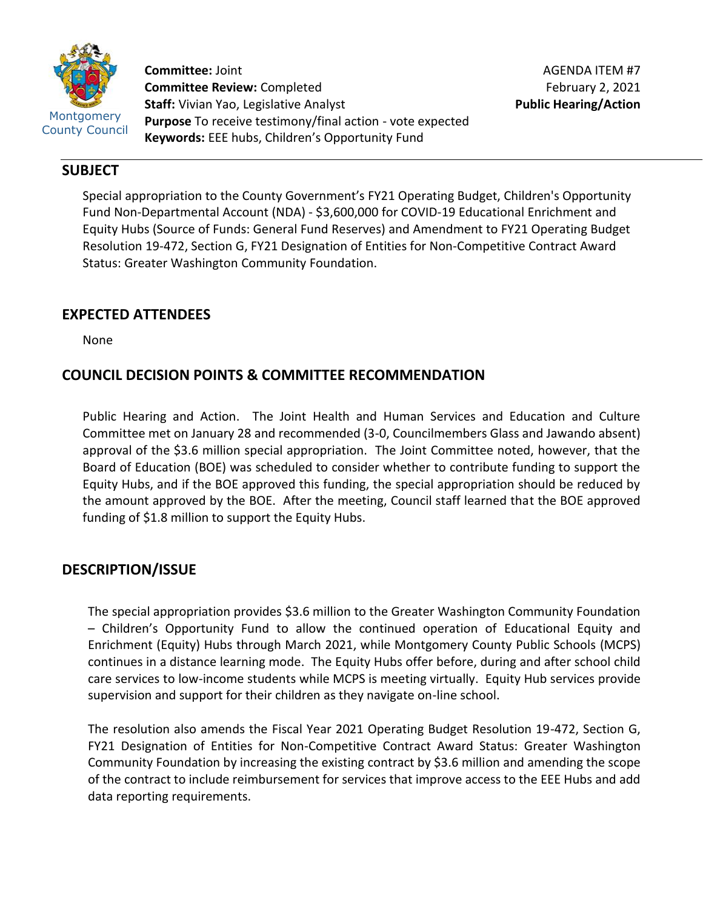

**Committee:** Joint **Committee Review:** Completed **Staff:** Vivian Yao, Legislative Analyst **Purpose** To receive testimony/final action - vote expected **Keywords:** EEE hubs, Children's Opportunity Fund

## **SUBJECT**

Special appropriation to the County Government's FY21 Operating Budget, Children's Opportunity Fund Non-Departmental Account (NDA) - \$3,600,000 for COVID-19 Educational Enrichment and Equity Hubs (Source of Funds: General Fund Reserves) and Amendment to FY21 Operating Budget Resolution 19-472, Section G, FY21 Designation of Entities for Non-Competitive Contract Award Status: Greater Washington Community Foundation.

# **EXPECTED ATTENDEES**

None

# **COUNCIL DECISION POINTS & COMMITTEE RECOMMENDATION**

Public Hearing and Action. The Joint Health and Human Services and Education and Culture Committee met on January 28 and recommended (3-0, Councilmembers Glass and Jawando absent) approval of the \$3.6 million special appropriation. The Joint Committee noted, however, that the Board of Education (BOE) was scheduled to consider whether to contribute funding to support the Equity Hubs, and if the BOE approved this funding, the special appropriation should be reduced by the amount approved by the BOE. After the meeting, Council staff learned that the BOE approved funding of \$1.8 million to support the Equity Hubs.

## **DESCRIPTION/ISSUE**

The special appropriation provides \$3.6 million to the Greater Washington Community Foundation – Children's Opportunity Fund to allow the continued operation of Educational Equity and Enrichment (Equity) Hubs through March 2021, while Montgomery County Public Schools (MCPS) continues in a distance learning mode. The Equity Hubs offer before, during and after school child care services to low-income students while MCPS is meeting virtually. Equity Hub services provide supervision and support for their children as they navigate on-line school.

The resolution also amends the Fiscal Year 2021 Operating Budget Resolution 19-472, Section G, FY21 Designation of Entities for Non-Competitive Contract Award Status: Greater Washington Community Foundation by increasing the existing contract by \$3.6 million and amending the scope of the contract to include reimbursement for services that improve access to the EEE Hubs and add data reporting requirements.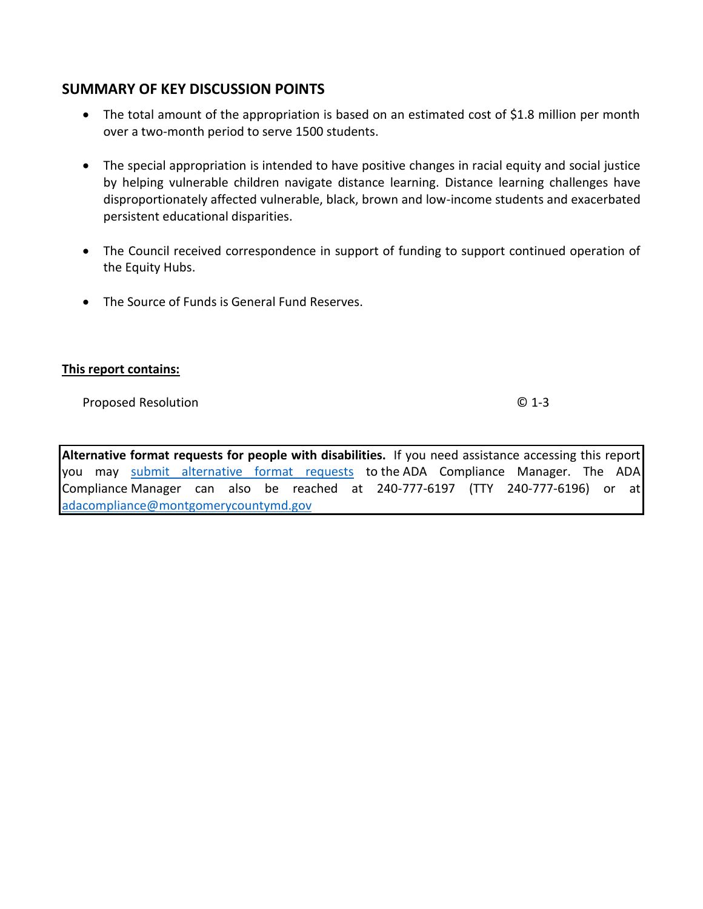## **SUMMARY OF KEY DISCUSSION POINTS**

- The total amount of the appropriation is based on an estimated cost of \$1.8 million per month over a two-month period to serve 1500 students.
- The special appropriation is intended to have positive changes in racial equity and social justice by helping vulnerable children navigate distance learning. Distance learning challenges have disproportionately affected vulnerable, black, brown and low-income students and exacerbated persistent educational disparities.
- The Council received correspondence in support of funding to support continued operation of the Equity Hubs.
- The Source of Funds is General Fund Reserves.

## **This report contains:**

Proposed Resolution © 1-3

**Alternative format requests for people with disabilities.** If you need assistance accessing this report you may [submit alternative format requests](https://gcc01.safelinks.protection.outlook.com/?url=http%3A%2F%2Fwww2.montgomerycountymd.gov%2Fmcgportalapps%2FAccessibilityForm.aspx&data=02%7C01%7Csandra.marin%40montgomerycountymd.gov%7C79d44e803a8846df027008d6ad4e4d1b%7C6e01b1f9b1e54073ac97778069a0ad64%7C0%7C0%7C636886950086244453&sdata=AT2lwLz22SWBJ8c92gXfspY8lQVeGCrUbqSPzpYheB0%3D&reserved=0) to the ADA Compliance Manager. The ADA Compliance Manager can also be reached at 240-777-6197 (TTY 240-777-6196) or at [adacompliance@montgomerycountymd.gov](mailto:adacompliance@montgomerycountymd.gov)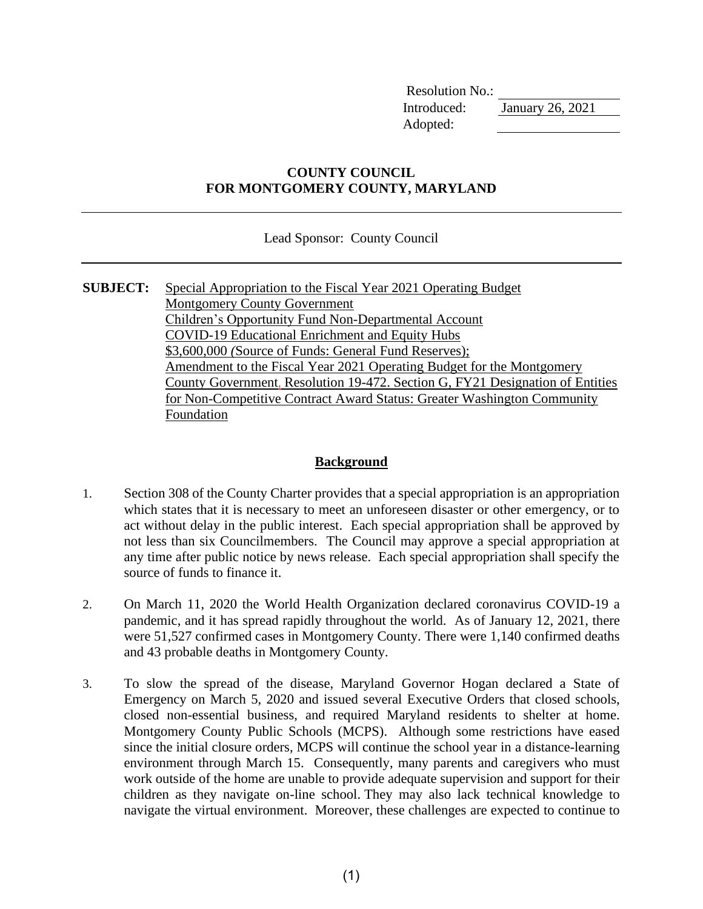Resolution No.: Introduced: January 26, 2021 Adopted:

## **COUNTY COUNCIL FOR MONTGOMERY COUNTY, MARYLAND**

Lead Sponsor: County Council

**SUBJECT:** Special Appropriation to the Fiscal Year 2021 Operating Budget Montgomery County Government Children's Opportunity Fund Non-Departmental Account COVID-19 Educational Enrichment and Equity Hubs \$3,600,000 *(*Source of Funds: General Fund Reserves); Amendment to the Fiscal Year 2021 Operating Budget for the Montgomery County Government, Resolution 19-472. Section G, FY21 Designation of Entities for Non-Competitive Contract Award Status: Greater Washington Community Foundation

### **Background**

- 1. Section 308 of the County Charter provides that a special appropriation is an appropriation which states that it is necessary to meet an unforeseen disaster or other emergency, or to act without delay in the public interest. Each special appropriation shall be approved by not less than six Councilmembers. The Council may approve a special appropriation at any time after public notice by news release. Each special appropriation shall specify the source of funds to finance it.
- 2. On March 11, 2020 the World Health Organization declared coronavirus COVID-19 a pandemic, and it has spread rapidly throughout the world. As of January 12, 2021, there were 51,527 confirmed cases in Montgomery County. There were 1,140 confirmed deaths and 43 probable deaths in Montgomery County.
- 3. To slow the spread of the disease, Maryland Governor Hogan declared a State of Emergency on March 5, 2020 and issued several Executive Orders that closed schools, closed non-essential business, and required Maryland residents to shelter at home. Montgomery County Public Schools (MCPS). Although some restrictions have eased since the initial closure orders, MCPS will continue the school year in a distance-learning environment through March 15. Consequently, many parents and caregivers who must work outside of the home are unable to provide adequate supervision and support for their children as they navigate on-line school. They may also lack technical knowledge to navigate the virtual environment. Moreover, these challenges are expected to continue to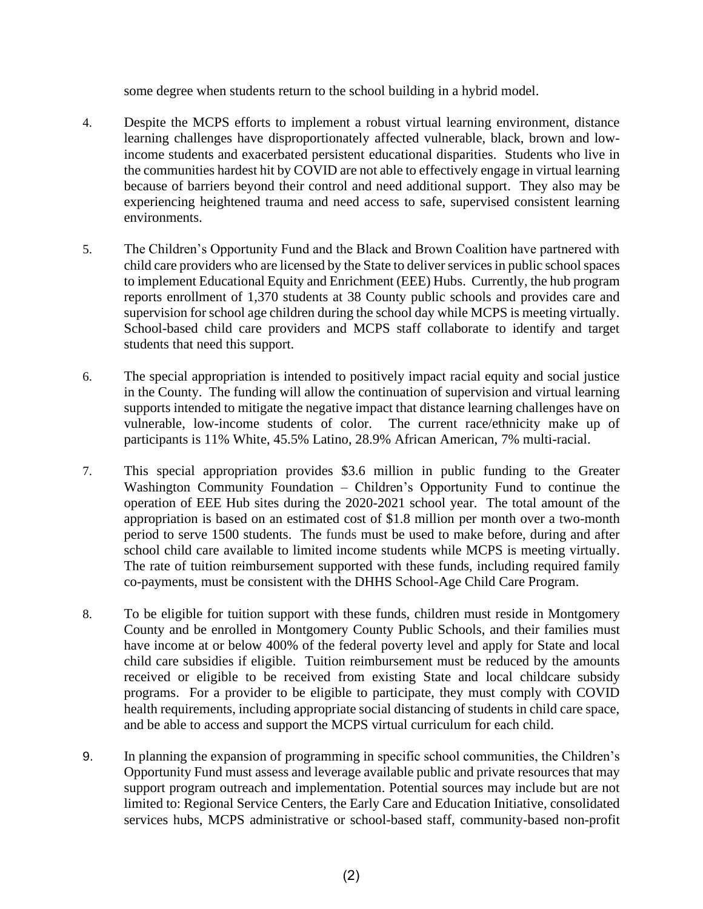some degree when students return to the school building in a hybrid model.

- 4. Despite the MCPS efforts to implement a robust virtual learning environment, distance learning challenges have disproportionately affected vulnerable, black, brown and lowincome students and exacerbated persistent educational disparities. Students who live in the communities hardest hit by COVID are not able to effectively engage in virtual learning because of barriers beyond their control and need additional support. They also may be experiencing heightened trauma and need access to safe, supervised consistent learning environments.
- 5. The Children's Opportunity Fund and the Black and Brown Coalition have partnered with child care providers who are licensed by the State to deliver services in public school spaces to implement Educational Equity and Enrichment (EEE) Hubs. Currently, the hub program reports enrollment of 1,370 students at 38 County public schools and provides care and supervision for school age children during the school day while MCPS is meeting virtually. School-based child care providers and MCPS staff collaborate to identify and target students that need this support.
- 6. The special appropriation is intended to positively impact racial equity and social justice in the County. The funding will allow the continuation of supervision and virtual learning supports intended to mitigate the negative impact that distance learning challenges have on vulnerable, low-income students of color. The current race/ethnicity make up of participants is 11% White, 45.5% Latino, 28.9% African American, 7% multi-racial.
- 7. This special appropriation provides \$3.6 million in public funding to the Greater Washington Community Foundation – Children's Opportunity Fund to continue the operation of EEE Hub sites during the 2020-2021 school year. The total amount of the appropriation is based on an estimated cost of \$1.8 million per month over a two-month period to serve 1500 students. The funds must be used to make before, during and after school child care available to limited income students while MCPS is meeting virtually. The rate of tuition reimbursement supported with these funds, including required family co-payments, must be consistent with the DHHS School-Age Child Care Program.
- 8. To be eligible for tuition support with these funds, children must reside in Montgomery County and be enrolled in Montgomery County Public Schools, and their families must have income at or below 400% of the federal poverty level and apply for State and local child care subsidies if eligible. Tuition reimbursement must be reduced by the amounts received or eligible to be received from existing State and local childcare subsidy programs. For a provider to be eligible to participate, they must comply with COVID health requirements, including appropriate social distancing of students in child care space, and be able to access and support the MCPS virtual curriculum for each child.
- 9. In planning the expansion of programming in specific school communities, the Children's Opportunity Fund must assess and leverage available public and private resources that may support program outreach and implementation. Potential sources may include but are not limited to: Regional Service Centers, the Early Care and Education Initiative, consolidated services hubs, MCPS administrative or school-based staff, community-based non-profit